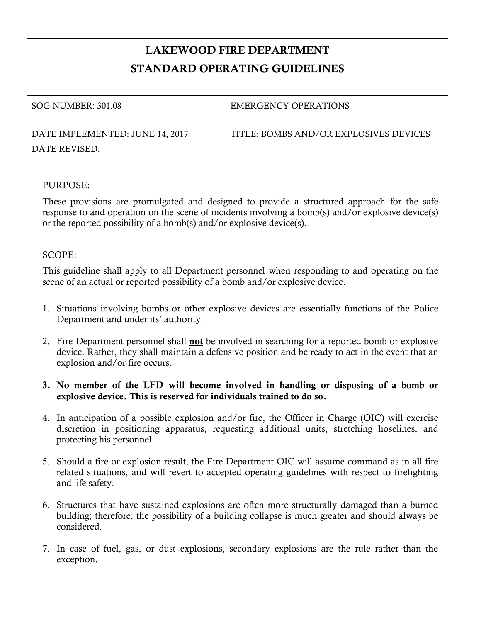## **LAKEWOOD FIRE DEPARTMENT STANDARD OPERATING GUIDELINES**

| SOG NUMBER: 301.08              | <b>EMERGENCY OPERATIONS</b>            |
|---------------------------------|----------------------------------------|
| DATE IMPLEMENTED: JUNE 14, 2017 | TITLE: BOMBS AND/OR EXPLOSIVES DEVICES |
| DATE REVISED:                   |                                        |

## PURPOSE:

These provisions are promulgated and designed to provide a structured approach for the safe response to and operation on the scene of incidents involving a bomb(s) and/or explosive device(s) or the reported possibility of a bomb(s) and/or explosive device(s).

## SCOPE:

This guideline shall apply to all Department personnel when responding to and operating on the scene of an actual or reported possibility of a bomb and/or explosive device.

- 1. Situations involving bombs or other explosive devices are essentially functions of the Police Department and under its' authority.
- 2. Fire Department personnel shall **not** be involved in searching for a reported bomb or explosive device. Rather, they shall maintain a defensive position and be ready to act in the event that an explosion and/or fire occurs.
- **3. No member of the LFD will become involved in handling or disposing of a bomb or explosive device. This is reserved for individuals trained to do so.**
- 4. In anticipation of a possible explosion and/or fire, the Officer in Charge (OIC) will exercise discretion in positioning apparatus, requesting additional units, stretching hoselines, and protecting his personnel.
- 5. Should a fire or explosion result, the Fire Department OIC will assume command as in all fire related situations, and will revert to accepted operating guidelines with respect to firefighting and life safety.
- 6. Structures that have sustained explosions are often more structurally damaged than a burned building; therefore, the possibility of a building collapse is much greater and should always be considered.
- 7. In case of fuel, gas, or dust explosions, secondary explosions are the rule rather than the exception.